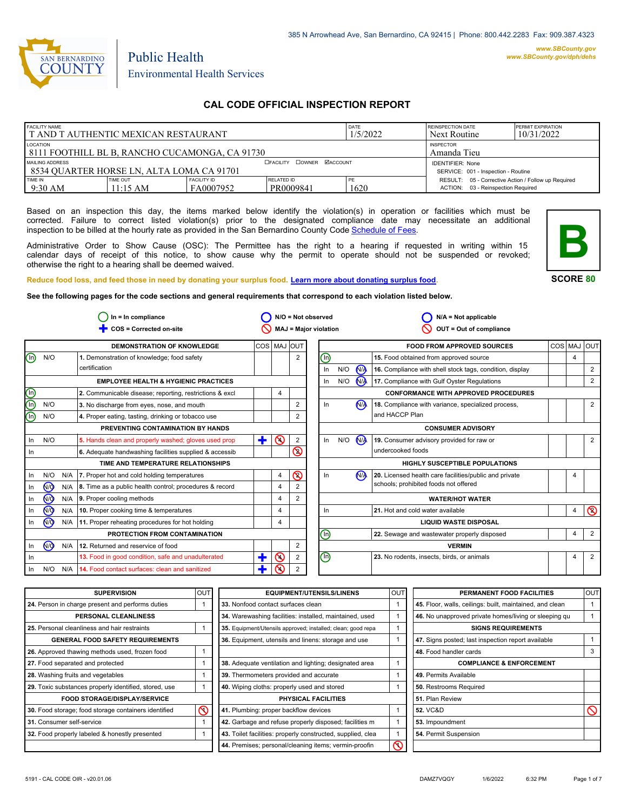

# Environmental Health Services

Public Health

# **CAL CODE OFFICIAL INSPECTION REPORT**

| <b>FACILITY NAME</b>                           |          |                    | DATE                                 | <b>REINSPECTION DATE</b> | <b>PERMIT EXPIRATION</b>                            |  |
|------------------------------------------------|----------|--------------------|--------------------------------------|--------------------------|-----------------------------------------------------|--|
| I T AND T AUTHENTIC MEXICAN RESTAURANT         |          |                    | 1/5/2022                             | Next Routine             | 10/31/2022                                          |  |
| LOCATION                                       |          |                    |                                      |                          | <b>INSPECTOR</b>                                    |  |
| 8111 FOOTHILL BL B, RANCHO CUCAMONGA, CA 91730 |          |                    |                                      |                          | Amanda Tieu                                         |  |
| MAILING ADDRESS                                |          |                    | <b>DOWNER MACCOUNT</b><br>□ FACILITY |                          | <b>IDENTIFIER: None</b>                             |  |
| 8534 QUARTER HORSE LN, ALTA LOMA CA 91701      |          |                    |                                      |                          | SERVICE: 001 - Inspection - Routine                 |  |
| TIME IN                                        | TIME OUT | <b>FACILITY ID</b> | RELATED ID                           | PE                       | RESULT: 05 - Corrective Action / Follow up Required |  |
| $9:30$ AM                                      | 11:15 AM | FA0007952          | PR0009841                            | 1620                     | ACTION: 03 - Reinspection Required                  |  |

Based on an inspection this day, the items marked below identify the violation(s) in operation or facilities which must be corrected. Failure to correct listed violation(s) prior to the designated compliance date may necessitate an additional inspection to be billed at the hourly rate as provided in the San Bernardino County Co[de Schedule of Fees.](https://codelibrary.amlegal.com/codes/sanbernardino/latest/sanberncty_ca/0-0-0-122474#JD_16.0213B)

Administrative Order to Show Cause (OSC): The Permittee has the right to a hearing if requested in writing within 15 calendar days of receipt of this notice, to show cause why the permit to operate should not be suspended or revoked; otherwise the right to a hearing shall be deemed waived.



**SCORE 80**

4

 $\overline{\mathsf{D}}$ 

2

4 2

4

4

4

2 2

2

2

**Reduce food loss, and feed those in need by donating your surplus f[ood. Learn more about donating surplus food.](https://wp.sbcounty.gov/dph/programs/ehs/charitable-food-service/) See the following pages for the code sections and general requirements that correspond to each violation listed below.**

**COS = Corrected on-site MAJ = Major violation** Ë **OUT = Out of compliance In = In compliance N/A = Not observed N/A = Not applicable**  $\bigcirc$  In = In compliance  $\bigcirc$  N/O = Not observed  $\circ$  $\circ$  $\bigcirc$  $\overline{\circ}$  $\overline{\mathsf{O}}$  $\overline{\mathcal{O}}$  $\overline{\mathsf{O}}$ In **N/O** N/A ൟ In  $\overline{\mathsf{WQ}}$  N/A In  $\overline{\mathsf{WQ}}$  N/A In <u>N/O</u> N/A **DEMONSTRATION OF KNOWLEDGE**  $N/O$ **EMPLOYEE HEALTH & HYGIENIC PRACTICES 1.** Demonstration of knowledge; food safety certification **3.** No discharge from eyes, nose, and mouth **4.** Proper eating, tasting, drinking or tobacco use **PREVENTING CONTAMINATION BY HANDS TIME AND TEMPERATURE RELATIONSHIPS 6.** Adequate handwashing facilities supplied & accessib **PROTECTION FROM CONTAMINATION 12.** Returned and reservice of food COS MAJ OUT **FOOD FROM APPROVED SOURCES** COS MAJ OUT **16.** Compliance with shell stock tags, condition, display **17.** Compliance with Gulf Oyster Regulations **CONFORMANCE WITH APPROVED PROCEDURES 18.** Compliance with variance, specialized process, and HACCP Plan **19.** Consumer advisory provided for raw or undercooked foods **CONSUMER ADVISORY HIGHLY SUSCEPTIBLE POPULATIONS WATER/HOT WATER LIQUID WASTE DISPOSAL VERMIN** 2 2 2 2 2 2 2 4 4 4 4 4 **2.** Communicable disease; reporting, restrictions & excl  $\begin{vmatrix} 4 \\ 4 \end{vmatrix}$ N/O N/O In N/O In In N/O N/A In N/O N/A  $\circledcirc$ In  $N/O$   $N/A$  $In$   $N/O$ In N/A In N/O N/A In N/A In  $\circledcirc$  $\circledcirc$ In  $N/Q$  N/A In Ë  $\ddagger$  $\ddagger$  $\binom{n}{k}$ n) ⋒ 网 **N<sub>A</sub>** 2 **5.** Hands clean and properly washed; gloves used prop  $\left|\frac{1}{2}\right| \mathbf{Q}$  2 **7.** Proper hot and cold holding temperatures **8.** Time as a public health control; procedures & record **9.** Proper cooling methods **10.** Proper cooking time & temperatures **11.** Proper reheating procedures for hot holding **13.** Food in good condition, safe and unadulterated **14.** Food contact surfaces: clean and sanitized **15.** Food obtained from approved source **20.** Licensed health care facilities/public and private schools; prohibited foods not offered **21.** Hot and cold water available **22.** Sewage and wastewater properly disposed **23.** No rodents, insects, birds, or animals

| <b>SUPERVISION</b>                                    | OUT |
|-------------------------------------------------------|-----|
| 24. Person in charge present and performs duties      | 1   |
| PERSONAL CLEANLINESS                                  |     |
| 25. Personal cleanliness and hair restraints          | 1   |
| <b>GENERAL FOOD SAFETY REQUIREMENTS</b>               |     |
| 26. Approved thawing methods used, frozen food        | 1   |
| 27. Food separated and protected                      | 1   |
| 28. Washing fruits and vegetables                     | 1   |
| 29. Toxic substances properly identified, stored, use | 1   |
| <b>FOOD STORAGE/DISPLAY/SERVICE</b>                   |     |
| 30. Food storage; food storage containers identified  |     |
| 31. Consumer self-service                             | 1   |
| 32. Food properly labeled & honestly presented        | 1   |

| UT                      | <b>EQUIPMENT/UTENSILS/LINENS</b>                             | OUT | PERMANENT FOOD FACILITIES                                |
|-------------------------|--------------------------------------------------------------|-----|----------------------------------------------------------|
| 1                       | 33. Nonfood contact surfaces clean                           |     | 45. Floor, walls, ceilings: built, maintained, and clean |
|                         | 34. Warewashing facilities: installed, maintained, used      |     | 46. No unapproved private homes/living or sleeping of    |
| 1                       | 35. Equipment/Utensils approved; installed; clean; good repa |     | <b>SIGNS REQUIREMENTS</b>                                |
|                         | <b>36.</b> Equipment, utensils and linens: storage and use   |     | 47. Signs posted; last inspection report available       |
| 1                       |                                                              |     | 48. Food handler cards                                   |
| $\mathbf{1}$            | 38. Adequate ventilation and lighting; designated area       |     | <b>COMPLIANCE &amp; ENFORCEMENT</b>                      |
| 1                       | 39. Thermometers provided and accurate                       | 1   | 49. Permits Available                                    |
| 1                       | 40. Wiping cloths: properly used and stored                  |     | <b>50.</b> Restrooms Required                            |
|                         | PHYSICAL FACILITIES                                          |     | 51. Plan Review                                          |
| $\overline{\mathbb{S}}$ | 41. Plumbing: proper backflow devices                        | 1   | 52. VC&D                                                 |
| 1                       | 42. Garbage and refuse properly disposed; facilities m       |     | 53. Impoundment                                          |
| 1                       | 43. Toilet facilities: properly constructed, supplied, clea  |     | 54. Permit Suspension                                    |
|                         | 44. Premises; personal/cleaning items; vermin-proofin        | Ϛ   |                                                          |
|                         |                                                              |     |                                                          |

| <b>OUT</b>   | <b>EQUIPMENT/UTENSILS/LINENS</b>                             | OUT | PERMANENT FOOD FACILITIES                                | <b>OUT</b> |
|--------------|--------------------------------------------------------------|-----|----------------------------------------------------------|------------|
| $\mathbf{1}$ | 33. Nonfood contact surfaces clean                           |     | 45. Floor, walls, ceilings: built, maintained, and clean |            |
|              | 34. Warewashing facilities: installed, maintained, used      |     | 46. No unapproved private homes/living or sleeping gu    |            |
|              | 35. Equipment/Utensils approved; installed; clean; good repa |     | <b>SIGNS REQUIREMENTS</b>                                |            |
|              | 36. Equipment, utensils and linens: storage and use          |     | 47. Signs posted; last inspection report available       |            |
|              |                                                              |     | 48. Food handler cards                                   | 3          |
|              | 38. Adequate ventilation and lighting; designated area       |     | <b>COMPLIANCE &amp; ENFORCEMENT</b>                      |            |
| $\mathbf{1}$ | 39. Thermometers provided and accurate                       |     | 49. Permits Available                                    |            |
|              | 40. Wiping cloths: properly used and stored                  |     | 50. Restrooms Required                                   |            |
|              | PHYSICAL FACILITIES                                          |     | 51. Plan Review                                          |            |
| ⋒            | 41. Plumbing: proper backflow devices                        |     | 52. VC&D                                                 |            |
|              | 42. Garbage and refuse properly disposed; facilities m       |     | 53. Impoundment                                          |            |
|              | 43. Toilet facilities: properly constructed, supplied, clea  |     | 54. Permit Suspension                                    |            |
|              | 44. Premises; personal/cleaning items; vermin-proofin        |     |                                                          |            |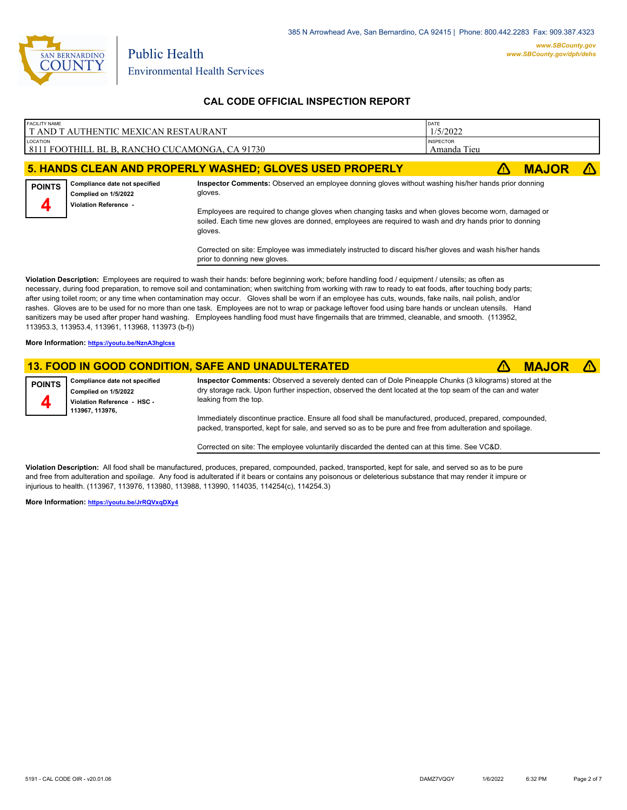

| <b>FACILITY NAME</b><br>T AND T AUTHENTIC MEXICAN RESTAURANT |                                      | DATE<br>1/5/2022                                                                                    |  |  |              |  |
|--------------------------------------------------------------|--------------------------------------|-----------------------------------------------------------------------------------------------------|--|--|--------------|--|
| LOCATION<br>8111 FOOTHILL BL B, RANCHO CUCAMONGA, CA 91730   |                                      | <b>INSPECTOR</b><br>Amanda Tieu                                                                     |  |  |              |  |
|                                                              |                                      | 5. HANDS CLEAN AND PROPERLY WASHED; GLOVES USED PROPERLY                                            |  |  | <b>MAJOR</b> |  |
|                                                              | POINTS Compliance date not specified | Inspector Comments: Observed an employee donning gloves without washing his/her hands prior donning |  |  |              |  |

**Complied on 1/5/2022 Violation Reference -** 

**4**

gloves. Employees are required to change gloves when changing tasks and when gloves become worn, damaged or soiled. Each time new gloves are donned, employees are required to wash and dry hands prior to donning

Corrected on site: Employee was immediately instructed to discard his/her gloves and wash his/her hands prior to donning new gloves.

**Violation Description:** Employees are required to wash their hands: before beginning work; before handling food / equipment / utensils; as often as necessary, during food preparation, to remove soil and contamination; when switching from working with raw to ready to eat foods, after touching body parts; after using toilet room; or any time when contamination may occur. Gloves shall be worn if an employee has cuts, wounds, fake nails, nail polish, and/or rashes. Gloves are to be used for no more than one task. Employees are not to wrap or package leftover food using bare hands or unclean utensils. Hand sanitizers may be used after proper hand washing. Employees handling food must have fingernails that are trimmed, cleanable, and smooth. (113952, 113953.3, 113953.4, 113961, 113968, 113973 (b-f))

**More Information: <https://youtu.be/NznA3hgIcss>**

#### **13. FOOD IN GOOD CONDITION, SAFE AND UNADULTERATED** ê**! MAJOR** ê**!**

gloves.



**Inspector Comments:** Observed a severely dented can of Dole Pineapple Chunks (3 kilograms) stored at the dry storage rack. Upon further inspection, observed the dent located at the top seam of the can and water leaking from the top.

Immediately discontinue practice. Ensure all food shall be manufactured, produced, prepared, compounded, packed, transported, kept for sale, and served so as to be pure and free from adulteration and spoilage.

Corrected on site: The employee voluntarily discarded the dented can at this time. See VC&D.

**Violation Description:** All food shall be manufactured, produces, prepared, compounded, packed, transported, kept for sale, and served so as to be pure and free from adulteration and spoilage. Any food is adulterated if it bears or contains any poisonous or deleterious substance that may render it impure or injurious to health. (113967, 113976, 113980, 113988, 113990, 114035, 114254(c), 114254.3)

**More Information: <https://youtu.be/JrRQVxqDXy4>**

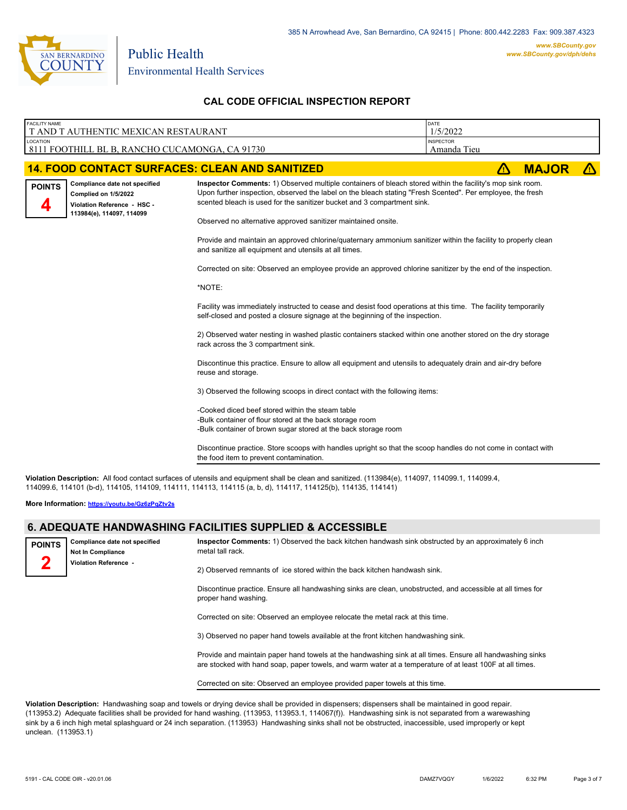

| <b>FACILITY NAME</b><br>T AND T AUTHENTIC MEXICAN RESTAURANT |                                                                                                                   |                                                                                                                                                                                                                                                                                                                                                                                                                                                                                                                                                                                                                                                                                                                                                                                                                                                                                                                                                                                                                                                                                                                                                                                                                                                                                                                                                                       | DATE<br>1/5/2022                |              |            |
|--------------------------------------------------------------|-------------------------------------------------------------------------------------------------------------------|-----------------------------------------------------------------------------------------------------------------------------------------------------------------------------------------------------------------------------------------------------------------------------------------------------------------------------------------------------------------------------------------------------------------------------------------------------------------------------------------------------------------------------------------------------------------------------------------------------------------------------------------------------------------------------------------------------------------------------------------------------------------------------------------------------------------------------------------------------------------------------------------------------------------------------------------------------------------------------------------------------------------------------------------------------------------------------------------------------------------------------------------------------------------------------------------------------------------------------------------------------------------------------------------------------------------------------------------------------------------------|---------------------------------|--------------|------------|
| <b>LOCATION</b>                                              | 8111 FOOTHILL BL B, RANCHO CUCAMONGA, CA 91730                                                                    |                                                                                                                                                                                                                                                                                                                                                                                                                                                                                                                                                                                                                                                                                                                                                                                                                                                                                                                                                                                                                                                                                                                                                                                                                                                                                                                                                                       | <b>INSPECTOR</b><br>Amanda Tieu |              |            |
|                                                              |                                                                                                                   | <b>14. FOOD CONTACT SURFACES: CLEAN AND SANITIZED</b>                                                                                                                                                                                                                                                                                                                                                                                                                                                                                                                                                                                                                                                                                                                                                                                                                                                                                                                                                                                                                                                                                                                                                                                                                                                                                                                 | $\Lambda$                       | <b>MAJOR</b> | $\sqrt{N}$ |
| <b>POINTS</b>                                                | Compliance date not specified<br>Complied on 1/5/2022<br>Violation Reference - HSC -<br>113984(e), 114097, 114099 | Inspector Comments: 1) Observed multiple containers of bleach stored within the facility's mop sink room.<br>Upon further inspection, observed the label on the bleach stating "Fresh Scented". Per employee, the fresh<br>scented bleach is used for the sanitizer bucket and 3 compartment sink.<br>Observed no alternative approved sanitizer maintained onsite.<br>Provide and maintain an approved chlorine/quaternary ammonium sanitizer within the facility to properly clean<br>and sanitize all equipment and utensils at all times.<br>Corrected on site: Observed an employee provide an approved chlorine sanitizer by the end of the inspection.<br>*NOTE:<br>Facility was immediately instructed to cease and desist food operations at this time. The facility temporarily<br>self-closed and posted a closure signage at the beginning of the inspection.<br>2) Observed water nesting in washed plastic containers stacked within one another stored on the dry storage<br>rack across the 3 compartment sink.<br>Discontinue this practice. Ensure to allow all equipment and utensils to adequately drain and air-dry before<br>reuse and storage.<br>3) Observed the following scoops in direct contact with the following items:<br>-Cooked diced beef stored within the steam table<br>-Bulk container of flour stored at the back storage room |                                 |              |            |
|                                                              |                                                                                                                   | -Bulk container of brown sugar stored at the back storage room<br>Discontinue practice. Store scoops with handles upright so that the scoop handles do not come in contact with                                                                                                                                                                                                                                                                                                                                                                                                                                                                                                                                                                                                                                                                                                                                                                                                                                                                                                                                                                                                                                                                                                                                                                                       |                                 |              |            |
|                                                              |                                                                                                                   | the food item to prevent contamination.                                                                                                                                                                                                                                                                                                                                                                                                                                                                                                                                                                                                                                                                                                                                                                                                                                                                                                                                                                                                                                                                                                                                                                                                                                                                                                                               |                                 |              |            |
|                                                              |                                                                                                                   | Violation Description: All food contact surfaces of utensils and equipment shall be clean and sanitized. (113984(e), 114097, 114099.1, 114099.4,<br>114099.6, 114101 (b-d), 114105, 114109, 114111, 114113, 114115 (a, b, d), 114117, 114125(b), 114135, 114141)                                                                                                                                                                                                                                                                                                                                                                                                                                                                                                                                                                                                                                                                                                                                                                                                                                                                                                                                                                                                                                                                                                      |                                 |              |            |

**More Information: <https://youtu.be/Gz6zPqZtv2s>**

#### **6. ADEQUATE HANDWASHING FACILITIES SUPPLIED & ACCESSIBLE**

| <b>POINTS</b> | Compliance date not specified<br><b>Not In Compliance</b> | Inspector Comments: 1) Observed the back kitchen handwash sink obstructed by an approximately 6 inch<br>metal tall rack. |
|---------------|-----------------------------------------------------------|--------------------------------------------------------------------------------------------------------------------------|
|               | Violation Reference -                                     | 2) Observed remnants of ice stored within the back kitchen handwash sink.                                                |
|               |                                                           |                                                                                                                          |

Discontinue practice. Ensure all handwashing sinks are clean, unobstructed, and accessible at all times for proper hand washing.

Corrected on site: Observed an employee relocate the metal rack at this time.

3) Observed no paper hand towels available at the front kitchen handwashing sink.

Provide and maintain paper hand towels at the handwashing sink at all times. Ensure all handwashing sinks are stocked with hand soap, paper towels, and warm water at a temperature of at least 100F at all times.

Corrected on site: Observed an employee provided paper towels at this time.

**Violation Description:** Handwashing soap and towels or drying device shall be provided in dispensers; dispensers shall be maintained in good repair. (113953.2) Adequate facilities shall be provided for hand washing. (113953, 113953.1, 114067(f)). Handwashing sink is not separated from a warewashing sink by a 6 inch high metal splashguard or 24 inch separation. (113953) Handwashing sinks shall not be obstructed, inaccessible, used improperly or kept unclean. (113953.1)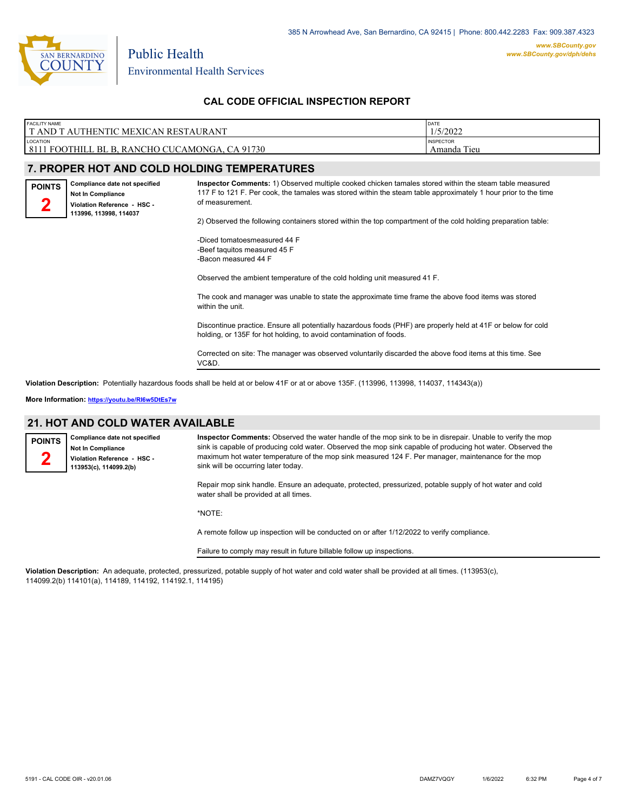

| <b>FACILITY NAME</b>                                       | DATE                               |
|------------------------------------------------------------|------------------------------------|
| I T AND T AUTHENTIC MEXICAN RESTAURANT                     | 1/5/2022                           |
| LOCATION<br>8111 FOOTHILL BL B, RANCHO CUCAMONGA, CA 91730 | <b>INSPECTOR</b><br>Tieu<br>Amanda |

#### **7. PROPER HOT AND COLD HOLDING TEMPERATURES**

**Compliance date not specified Not In Compliance Violation Reference - HSC - 113996, 113998, 114037 POINTS 2**

**Inspector Comments:** 1) Observed multiple cooked chicken tamales stored within the steam table measured 117 F to 121 F. Per cook, the tamales was stored within the steam table approximately 1 hour prior to the time of measurement.

2) Observed the following containers stored within the top compartment of the cold holding preparation table:

-Diced tomatoesmeasured 44 F -Beef taquitos measured 45 F -Bacon measured 44 F

Observed the ambient temperature of the cold holding unit measured 41 F.

The cook and manager was unable to state the approximate time frame the above food items was stored within the unit

Discontinue practice. Ensure all potentially hazardous foods (PHF) are properly held at 41F or below for cold holding, or 135F for hot holding, to avoid contamination of foods.

Corrected on site: The manager was observed voluntarily discarded the above food items at this time. See VC&D.

**Violation Description:** Potentially hazardous foods shall be held at or below 41F or at or above 135F. (113996, 113998, 114037, 114343(a))

**More Information: <https://youtu.be/RI6w5DtEs7w>**

#### **21. HOT AND COLD WATER AVAILABLE**

**Compliance date not specified Not In Compliance Violation Reference - HSC - 113953(c), 114099.2(b) POINTS 2**

**Inspector Comments:** Observed the water handle of the mop sink to be in disrepair. Unable to verify the mop sink is capable of producing cold water. Observed the mop sink capable of producing hot water. Observed the maximum hot water temperature of the mop sink measured 124 F. Per manager, maintenance for the mop sink will be occurring later today.

Repair mop sink handle. Ensure an adequate, protected, pressurized, potable supply of hot water and cold water shall be provided at all times.

\*NOTE:

A remote follow up inspection will be conducted on or after 1/12/2022 to verify compliance.

Failure to comply may result in future billable follow up inspections.

**Violation Description:** An adequate, protected, pressurized, potable supply of hot water and cold water shall be provided at all times. (113953(c), 114099.2(b) 114101(a), 114189, 114192, 114192.1, 114195)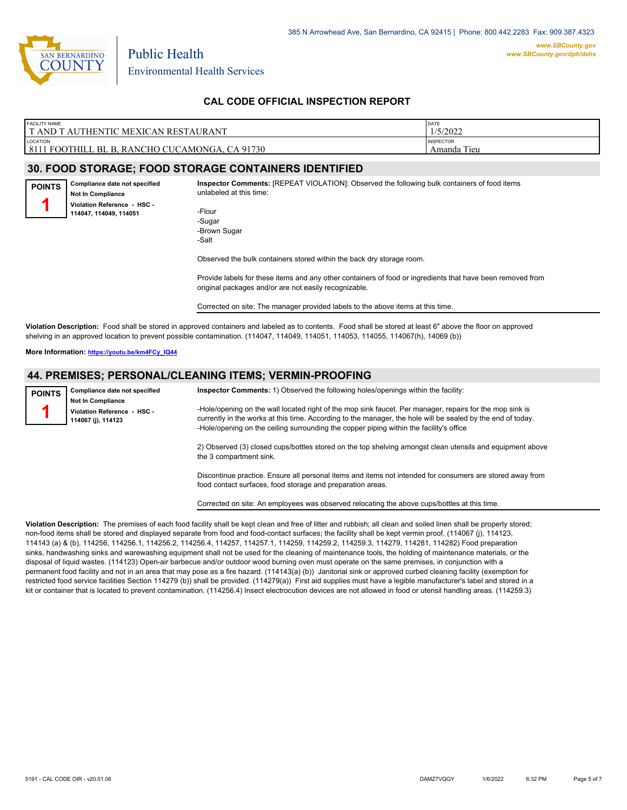

| <b>FACILITY NAME</b>                        | DATE             |
|---------------------------------------------|------------------|
| T AND T AUTHENTIC MEXICAN RESTAURANT        | 1/5/2022         |
| LOCATION                                    | <b>INSPECTOR</b> |
| 8111                                        | Tieu             |
| 1 FOOTHILL BL B. RANCHO CUCAMONGA. CA 91730 | Amanda           |

#### **30. FOOD STORAGE; FOOD STORAGE CONTAINERS IDENTIFIED**

**Compliance date not specified Not In Compliance Violation Reference - HSC - 114047, 114049, 114051 POINTS 1**

**Inspector Comments:** [REPEAT VIOLATION]: Observed the following bulk containers of food items unlabeled at this time:

-Flour -Sugar -Brown Sugar -Salt

Observed the bulk containers stored within the back dry storage room.

Provide labels for these items and any other containers of food or ingredients that have been removed from original packages and/or are not easily recognizable.

Corrected on site: The manager provided labels to the above items at this time.

**Violation Description:** Food shall be stored in approved containers and labeled as to contents. Food shall be stored at least 6" above the floor on approved shelving in an approved location to prevent possible contamination. (114047, 114049, 114051, 114053, 114055, 114067(h), 14069 (b))

**More Information: [https://youtu.be/km4FCy\\_IQ44](https://youtu.be/km4FCy_IQ44)**

#### **44. PREMISES; PERSONAL/CLEANING ITEMS; VERMIN-PROOFING**

| <b>POINTS</b> | Compliance date not specified<br><b>Not In Compliance</b><br>Violation Reference - HSC -<br>114067 (j), 114123 | Inspector Comments: 1) Observed the following holes/openings within the facility:<br>-Hole/opening on the wall located right of the mop sink faucet. Per manager, repairs for the mop sink is<br>currently in the works at this time. According to the manager, the hole will be sealed by the end of today.<br>-Hole/opening on the ceiling surrounding the copper piping within the facility's office |
|---------------|----------------------------------------------------------------------------------------------------------------|---------------------------------------------------------------------------------------------------------------------------------------------------------------------------------------------------------------------------------------------------------------------------------------------------------------------------------------------------------------------------------------------------------|
|               |                                                                                                                | 2) Observed (3) closed cups/bottles stored on the top shelving amongst clean utensils and equipment above<br>the 3 compartment sink.                                                                                                                                                                                                                                                                    |

Discontinue practice. Ensure all personal items and items not intended for consumers are stored away from food contact surfaces, food storage and preparation areas.

Corrected on site: An employees was observed relocating the above cups/bottles at this time.

**Violation Description:** The premises of each food facility shall be kept clean and free of litter and rubbish; all clean and soiled linen shall be properly stored; non-food items shall be stored and displayed separate from food and food-contact surfaces; the facility shall be kept vermin proof. (114067 (j), 114123, 114143 (a) & (b), 114256, 114256.1, 114256.2, 114256.4, 114257, 114257.1, 114259, 114259.2, 114259.3, 114279, 114281, 114282) Food preparation sinks, handwashing sinks and warewashing equipment shall not be used for the cleaning of maintenance tools, the holding of maintenance materials, or the disposal of liquid wastes. (114123) Open-air barbecue and/or outdoor wood burning oven must operate on the same premises, in conjunction with a permanent food facility and not in an area that may pose as a fire hazard. (114143(a) (b)) Janitorial sink or approved curbed cleaning facility (exemption for restricted food service facilities Section 114279 (b)) shall be provided. (114279(a)) First aid supplies must have a legible manufacturer's label and stored in a kit or container that is located to prevent contamination. (114256.4) Insect electrocution devices are not allowed in food or utensil handling areas. (114259.3)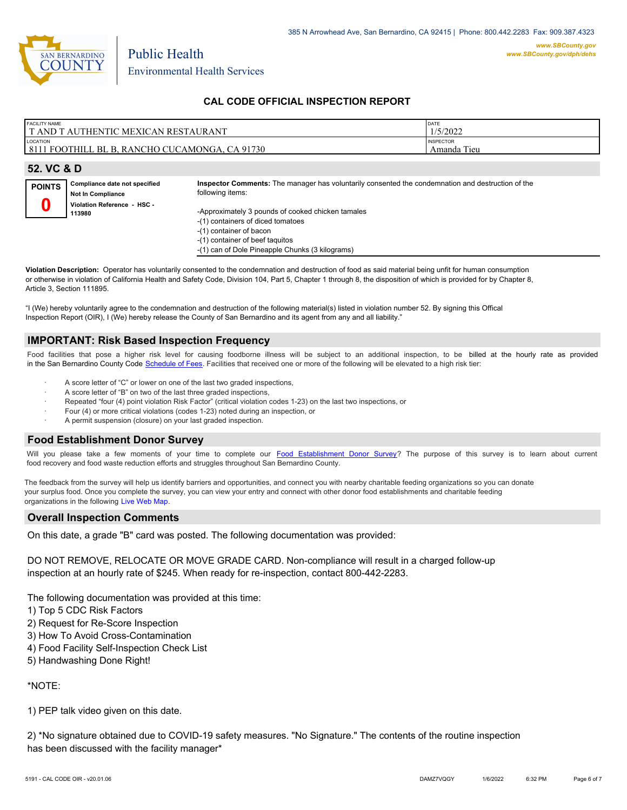

| <b>FACILITY NAME</b>                           | DATE             |
|------------------------------------------------|------------------|
| <b>TAND T AUTHENTIC MEXICAN RESTAURANT</b>     | 1/5/2022         |
| LOCATION                                       | <b>INSPECTOR</b> |
| 8111 FOOTHILL BL B, RANCHO CUCAMONGA, CA 91730 | Amanda Tieu      |
|                                                |                  |
| $52 \text{ V} \cap R$                          |                  |

|               | JZ. VU U U                                                |                                                                                                                       |  |  |  |
|---------------|-----------------------------------------------------------|-----------------------------------------------------------------------------------------------------------------------|--|--|--|
| <b>POINTS</b> | Compliance date not specified<br><b>Not In Compliance</b> | Inspector Comments: The manager has voluntarily consented the condemnation and destruction of the<br>following items: |  |  |  |
|               | Violation Reference - HSC -<br>113980                     | -Approximately 3 pounds of cooked chicken tamales                                                                     |  |  |  |
|               |                                                           | -(1) containers of diced tomatoes<br>-(1) container of bacon<br>-(1) container of beef taquitos                       |  |  |  |

-(1) can of Dole Pineapple Chunks (3 kilograms)

**Violation Description:** Operator has voluntarily consented to the condemnation and destruction of food as said material being unfit for human consumption or otherwise in violation of California Health and Safety Code, Division 104, Part 5, Chapter 1 through 8, the disposition of which is provided for by Chapter 8, Article 3, Section 111895.

"I (We) hereby voluntarily agree to the condemnation and destruction of the following material(s) listed in violation number 52. By signing this Offical Inspection Report (OIR), I (We) hereby release the County of San Bernardino and its agent from any and all liability."

## **IMPORTANT: Risk Based Inspection Frequency**

Food facilities that pose a higher risk level for causing foodborne illness will be subject to an additional inspection, to be billed at the hourly rate as provided in the San Bernardino Count[y Code Schedule of Fees. Facilitie](https://codelibrary.amlegal.com/codes/sanbernardino/latest/sanberncty_ca/0-0-0-122474#JD_16.0213B)s that received one or more of the following will be elevated to a high risk tier:

- A score letter of "C" or lower on one of the last two graded inspections,
- A score letter of "B" on two of the last three graded inspections,
- Repeated "four (4) point violation Risk Factor" (critical violation codes 1-23) on the last two inspections, or
- Four (4) or more critical violations (codes 1-23) noted during an inspection, or
- A permit suspension (closure) on your last graded inspection.

#### **Food Establishment Donor Survey**

Will you please take a few moments of your time to co[mplete our Food Establishment Donor Survey?](https://survey123.arcgis.com/share/626bb0fb21674c82832b0c0d557c5e80?field:faid=FA0007952&field:facility_name=T%20AND%20T%20AUTHENTIC%20MEXICAN%20RESTAURANT¢er=34.11,-117.63&field:phone=9092576010) The purpose of this survey is to learn about current food recovery and food waste reduction efforts and struggles throughout San Bernardino County.

The feedback from the survey will help us identify barriers and opportunities, and connect you with nearby charitable feeding organizations so you can donate your surplus food. Once you complete the survey, you can view your entry and connect with other donor food establishments and charitable feeding organizations in the fol[lowing Live Web Map.](https://arcg.is/WvjGb)

#### **Overall Inspection Comments**

On this date, a grade "B" card was posted. The following documentation was provided:

DO NOT REMOVE, RELOCATE OR MOVE GRADE CARD. Non-compliance will result in a charged follow-up inspection at an hourly rate of \$245. When ready for re-inspection, contact 800-442-2283.

The following documentation was provided at this time:

- 1) Top 5 CDC Risk Factors
- 2) Request for Re-Score Inspection
- 3) How To Avoid Cross-Contamination
- 4) Food Facility Self-Inspection Check List
- 5) Handwashing Done Right!

\*NOTE:

1) PEP talk video given on this date.

2) \*No signature obtained due to COVID-19 safety measures. "No Signature." The contents of the routine inspection has been discussed with the facility manager\*